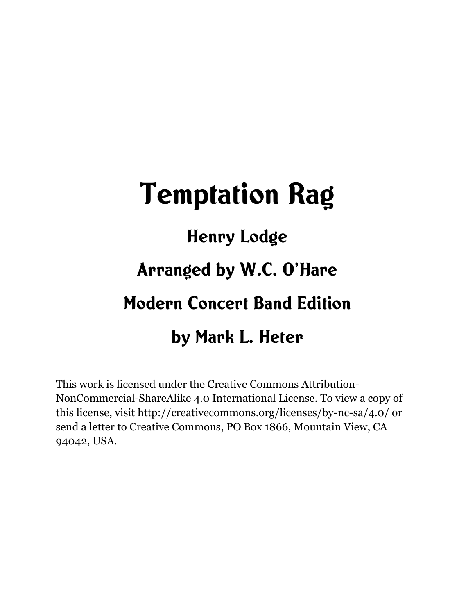# Temptation Rag

# Henry Lodge Arranged by W.C. O'Hare Modern Concert Band Edition by Mark L. Heter

This work is licensed under the Creative Commons Attribution-NonCommercial-ShareAlike 4.0 International License. To view a copy of this license, visit http://creativecommons.org/licenses/by-nc-sa/4.0/ or send a letter to Creative Commons, PO Box 1866, Mountain View, CA 94042, USA.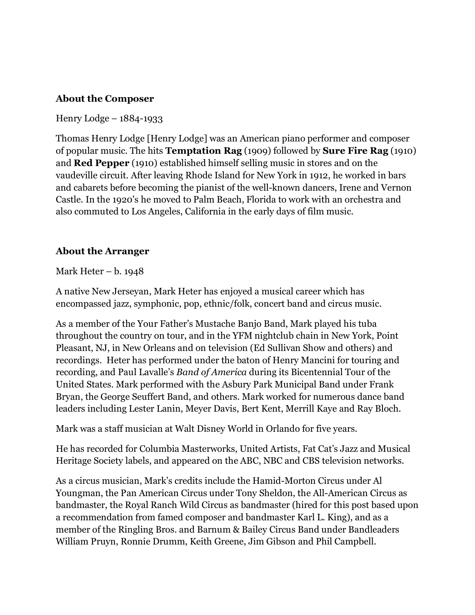#### **About the Composer**

Henry Lodge – 1884-1933

Thomas Henry Lodge [Henry Lodge] was an American piano performer and composer of popular music. The hits **Temptation Rag** (1909) followed by **Sure Fire Rag** (1910) and **Red Pepper** (1910) established himself selling music in stores and on the vaudeville circuit. After leaving Rhode Island for New York in 1912, he worked in bars and cabarets before becoming the pianist of the well-known dancers, Irene and Vernon Castle. In the 1920's he moved to Palm Beach, Florida to work with an orchestra and also commuted to Los Angeles, California in the early days of film music.

## **About the Arranger**

Mark Heter – b.  $1948$ 

A native New Jerseyan, Mark Heter has enjoyed a musical career which has encompassed jazz, symphonic, pop, ethnic/folk, concert band and circus music.

As a member of the Your Father's Mustache Banjo Band, Mark played his tuba throughout the country on tour, and in the YFM nightclub chain in New York, Point Pleasant, NJ, in New Orleans and on television (Ed Sullivan Show and others) and recordings. Heter has performed under the baton of Henry Mancini for touring and recording, and Paul Lavalle's *Band of America* during its Bicentennial Tour of the United States. Mark performed with the Asbury Park Municipal Band under Frank Bryan, the George Seuffert Band, and others. Mark worked for numerous dance band leaders including Lester Lanin, Meyer Davis, Bert Kent, Merrill Kaye and Ray Bloch.

Mark was a staff musician at Walt Disney World in Orlando for five years.

He has recorded for Columbia Masterworks, United Artists, Fat Cat's Jazz and Musical Heritage Society labels, and appeared on the ABC, NBC and CBS television networks.

As a circus musician, Mark's credits include the Hamid-Morton Circus under Al Youngman, the Pan American Circus under Tony Sheldon, the All-American Circus as bandmaster, the Royal Ranch Wild Circus as bandmaster (hired for this post based upon a recommendation from famed composer and bandmaster Karl L. King), and as a member of the Ringling Bros. and Barnum & Bailey Circus Band under Bandleaders William Pruyn, Ronnie Drumm, Keith Greene, Jim Gibson and Phil Campbell.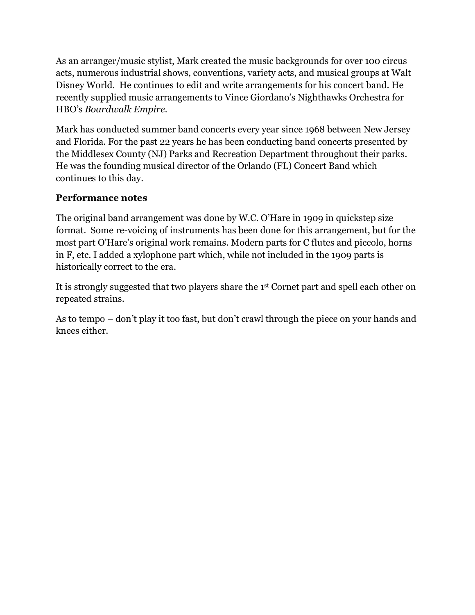As an arranger/music stylist, Mark created the music backgrounds for over 100 circus acts, numerous industrial shows, conventions, variety acts, and musical groups at Walt Disney World. He continues to edit and write arrangements for his concert band. He recently supplied music arrangements to Vince Giordano's Nighthawks Orchestra for HBO's *Boardwalk Empire*.

Mark has conducted summer band concerts every year since 1968 between New Jersey and Florida. For the past 22 years he has been conducting band concerts presented by the Middlesex County (NJ) Parks and Recreation Department throughout their parks. He was the founding musical director of the Orlando (FL) Concert Band which continues to this day.

## **Performance notes**

The original band arrangement was done by W.C. O'Hare in 1909 in quickstep size format. Some re-voicing of instruments has been done for this arrangement, but for the most part O'Hare's original work remains. Modern parts for C flutes and piccolo, horns in F, etc. I added a xylophone part which, while not included in the 1909 parts is historically correct to the era.

It is strongly suggested that two players share the 1st Cornet part and spell each other on repeated strains.

As to tempo – don't play it too fast, but don't crawl through the piece on your hands and knees either.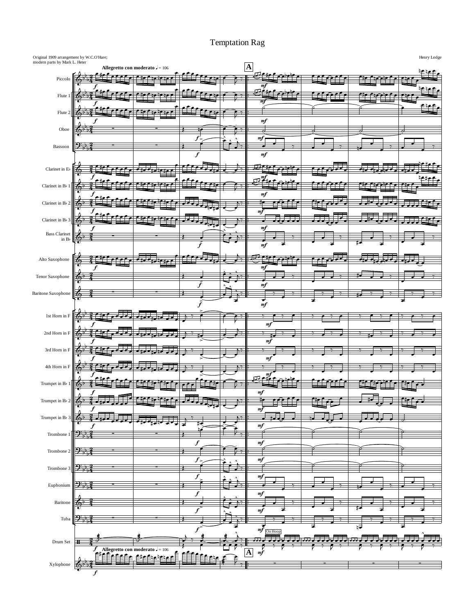#### Temptation Rag

| Original 1909 arrangement by W.C.O'Hare;<br>modern parts by Mark L. Heter |            |                  |                                 |                      |                                                      |                |                         | Henry Lodge                          |
|---------------------------------------------------------------------------|------------|------------------|---------------------------------|----------------------|------------------------------------------------------|----------------|-------------------------|--------------------------------------|
|                                                                           |            |                  | Allegretto con moderato J = 106 |                      | A                                                    |                |                         |                                      |
| Piccolo                                                                   |            |                  |                                 |                      | $m$ f                                                |                |                         |                                      |
| Flute 1                                                                   |            |                  |                                 |                      |                                                      |                |                         |                                      |
|                                                                           |            |                  |                                 |                      | m <sub>i</sub>                                       |                |                         |                                      |
| Flute 2                                                                   |            |                  |                                 |                      |                                                      |                |                         |                                      |
|                                                                           |            |                  |                                 |                      | $\it mf$                                             |                |                         |                                      |
| Oboe                                                                      |            |                  |                                 |                      |                                                      |                |                         |                                      |
| Bassoon                                                                   |            |                  |                                 | $f$ .                | $\it mf$                                             |                |                         |                                      |
|                                                                           |            |                  |                                 | $\boldsymbol{f}$     | m f                                                  |                |                         |                                      |
|                                                                           |            |                  |                                 |                      |                                                      |                |                         |                                      |
| Clarinet in Eb                                                            |            |                  |                                 |                      |                                                      |                |                         |                                      |
| Clarinet in Bb 1                                                          |            |                  |                                 |                      | тj                                                   |                |                         |                                      |
|                                                                           |            |                  |                                 |                      | m f                                                  |                |                         |                                      |
| Clarinet in B $\flat$ 2                                                   |            |                  |                                 |                      |                                                      | ◢              |                         |                                      |
|                                                                           |            |                  |                                 |                      | m f                                                  |                |                         |                                      |
| Clarinet in $\rm B\flat$ 3                                                |            |                  |                                 |                      | $\overline{\cdot \cdot \cdot}$<br>J.,                |                |                         |                                      |
| ${\rm Bass \; Clarinet \atop in \; B\flat}$                               |            |                  |                                 |                      | m f                                                  |                |                         |                                      |
|                                                                           |            |                  |                                 |                      | m f                                                  |                |                         |                                      |
|                                                                           |            |                  |                                 |                      |                                                      |                |                         |                                      |
| Alto Saxophone                                                            |            |                  |                                 |                      | m f                                                  |                |                         |                                      |
| Tenor Saxophone                                                           |            |                  |                                 |                      |                                                      |                |                         |                                      |
|                                                                           |            |                  |                                 | Ĩ                    | m f                                                  |                |                         |                                      |
| <b>Baritone Saxophone</b>                                                 | K.         |                  |                                 | ÷                    |                                                      |                |                         |                                      |
|                                                                           |            |                  |                                 | f                    | $\it mf$                                             |                |                         |                                      |
| 1st Horn in F                                                             |            |                  |                                 |                      |                                                      |                |                         |                                      |
|                                                                           |            |                  |                                 |                      | m f                                                  |                |                         |                                      |
| 2nd Horn in F                                                             |            |                  |                                 |                      |                                                      |                |                         |                                      |
|                                                                           |            |                  |                                 |                      | m f                                                  |                |                         |                                      |
| 3rd Horn in F                                                             |            |                  |                                 |                      | m f                                                  |                |                         |                                      |
| $4\rm{th}$ Horn in F                                                      |            |                  |                                 |                      |                                                      |                |                         |                                      |
|                                                                           |            |                  |                                 |                      | m <sub>i</sub>                                       |                |                         |                                      |
| Trumpet in Bb 1                                                           |            |                  |                                 |                      |                                                      |                |                         |                                      |
| Trumpet in B $\flat$ 2                                                    | <b>TAP</b> |                  |                                 |                      | m f<br>t.<br>. .                                     |                |                         |                                      |
|                                                                           | ಲ          |                  |                                 |                      | $m\!f$                                               | $\hat{\bm{r}}$ |                         |                                      |
| Trumpet in $\rm B\flat$ 3                                                 |            |                  |                                 |                      | $\overline{\phantom{a}}$                             |                |                         |                                      |
|                                                                           |            |                  |                                 |                      | $\it mf$                                             |                |                         |                                      |
| Trombone 1                                                                | ツマ         |                  |                                 |                      |                                                      |                |                         |                                      |
| Trombone 2                                                                | ント         |                  |                                 | $\boldsymbol{f}$     | $\it mf$                                             |                |                         |                                      |
|                                                                           |            |                  |                                 | $f_{\leq}$           | $\it mf$                                             |                |                         |                                      |
| Trombone 3                                                                | ウェ         |                  |                                 |                      |                                                      |                |                         |                                      |
|                                                                           |            |                  |                                 | $\frac{f}{\sqrt{2}}$ | mf                                                   |                |                         |                                      |
| Euphonium                                                                 |            |                  |                                 |                      |                                                      |                |                         |                                      |
| Baritone                                                                  |            |                  |                                 | $\pmb{f}$            | $\it mf$                                             |                |                         |                                      |
|                                                                           |            |                  |                                 | ◢<br>$\bar{\vec{f}}$ | mf                                                   |                |                         |                                      |
| Tuba                                                                      |            |                  |                                 |                      |                                                      |                |                         |                                      |
|                                                                           |            |                  |                                 | $\boldsymbol{f}$     | $\overline{\mathcal{M}}$ $\overline{\text{On Hoop}}$ |                | ਖ਼⊋                     |                                      |
| Drum Set                                                                  | 囲          |                  |                                 |                      |                                                      |                | $\bullet\bullet\bullet$ | $\overline{\phantom{a}}$<br><i>.</i> |
|                                                                           |            |                  |                                 |                      | $\boldsymbol{\rm{A}}$<br>mf                          |                |                         |                                      |
|                                                                           |            |                  | ماجام                           |                      |                                                      |                |                         |                                      |
| Xylophone                                                                 |            | $\boldsymbol{f}$ |                                 |                      |                                                      |                |                         |                                      |
|                                                                           |            |                  |                                 |                      |                                                      |                |                         |                                      |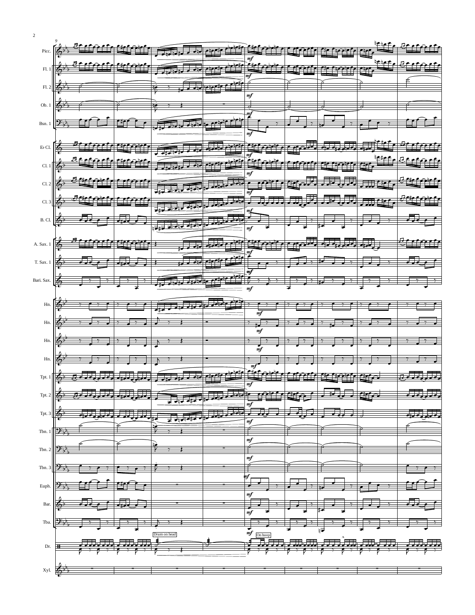|                      | Picc. (2) <u>BELL PLAN</u> City Color C <sub>Departie John City Charles (2016) Call Plan City City City City Color City C</sub>                                                                                                                                                                                                                                                                                            |            |                                                                                                                                                                                                                                                                                                                                                                                                                                                               |                        |                       |                                                                                                                      |
|----------------------|----------------------------------------------------------------------------------------------------------------------------------------------------------------------------------------------------------------------------------------------------------------------------------------------------------------------------------------------------------------------------------------------------------------------------|------------|---------------------------------------------------------------------------------------------------------------------------------------------------------------------------------------------------------------------------------------------------------------------------------------------------------------------------------------------------------------------------------------------------------------------------------------------------------------|------------------------|-----------------------|----------------------------------------------------------------------------------------------------------------------|
|                      |                                                                                                                                                                                                                                                                                                                                                                                                                            |            |                                                                                                                                                                                                                                                                                                                                                                                                                                                               |                        |                       |                                                                                                                      |
|                      |                                                                                                                                                                                                                                                                                                                                                                                                                            |            |                                                                                                                                                                                                                                                                                                                                                                                                                                                               |                        |                       |                                                                                                                      |
| F1.1                 | <u>    ¿. º LECCE   CECCE   FIJI, TIZ errordet   CECece   cecec</u>                                                                                                                                                                                                                                                                                                                                                        |            |                                                                                                                                                                                                                                                                                                                                                                                                                                                               |                        | <u> de creece cec</u> |                                                                                                                      |
|                      |                                                                                                                                                                                                                                                                                                                                                                                                                            |            |                                                                                                                                                                                                                                                                                                                                                                                                                                                               |                        |                       |                                                                                                                      |
|                      |                                                                                                                                                                                                                                                                                                                                                                                                                            |            |                                                                                                                                                                                                                                                                                                                                                                                                                                                               |                        |                       |                                                                                                                      |
|                      |                                                                                                                                                                                                                                                                                                                                                                                                                            |            | $\overline{\mathbf{e}}$ $\overline{\mathbf{e}}$ $\overline{\mathbf{e}}$ $\overline{\mathbf{e}}$ $\overline{\mathbf{e}}$ $\overline{\mathbf{e}}$ $\overline{\mathbf{e}}$ $\overline{\mathbf{e}}$ $\overline{\mathbf{e}}$ $\overline{\mathbf{e}}$ $\overline{\mathbf{e}}$ $\overline{\mathbf{e}}$ $\overline{\mathbf{e}}$ $\overline{\mathbf{e}}$ $\overline{\mathbf{e}}$ $\overline{\mathbf{e}}$ $\overline{\mathbf{e}}$ $\overline{\mathbf{e}}$ $\overline{\$ |                        |                       |                                                                                                                      |
|                      |                                                                                                                                                                                                                                                                                                                                                                                                                            |            |                                                                                                                                                                                                                                                                                                                                                                                                                                                               |                        |                       |                                                                                                                      |
|                      |                                                                                                                                                                                                                                                                                                                                                                                                                            |            |                                                                                                                                                                                                                                                                                                                                                                                                                                                               |                        |                       |                                                                                                                      |
|                      | Ob. 1 $\left\langle \left\langle \right\rangle \right\rangle$<br>$\sim$ $\sim$ $\sim$                                                                                                                                                                                                                                                                                                                                      |            |                                                                                                                                                                                                                                                                                                                                                                                                                                                               |                        |                       |                                                                                                                      |
|                      |                                                                                                                                                                                                                                                                                                                                                                                                                            |            | $\frac{1}{\sqrt{2}}$                                                                                                                                                                                                                                                                                                                                                                                                                                          |                        |                       |                                                                                                                      |
|                      |                                                                                                                                                                                                                                                                                                                                                                                                                            |            |                                                                                                                                                                                                                                                                                                                                                                                                                                                               |                        |                       |                                                                                                                      |
|                      | $_{\rm Bsn.1}$ $\sqrt{2\pi$ , and $\sqrt{2\pi}$ , $\sqrt{2\pi}$ , $\sqrt{2\pi}$ , $\sqrt{2\pi}$ , $\sqrt{2\pi}$ , $\sqrt{2\pi}$ , $\sqrt{2\pi}$ , $\sqrt{2\pi}$ , $\sqrt{2\pi}$                                                                                                                                                                                                                                            |            |                                                                                                                                                                                                                                                                                                                                                                                                                                                               |                        |                       |                                                                                                                      |
|                      |                                                                                                                                                                                                                                                                                                                                                                                                                            |            |                                                                                                                                                                                                                                                                                                                                                                                                                                                               |                        |                       |                                                                                                                      |
|                      |                                                                                                                                                                                                                                                                                                                                                                                                                            |            |                                                                                                                                                                                                                                                                                                                                                                                                                                                               |                        |                       |                                                                                                                      |
|                      |                                                                                                                                                                                                                                                                                                                                                                                                                            |            |                                                                                                                                                                                                                                                                                                                                                                                                                                                               |                        |                       |                                                                                                                      |
|                      |                                                                                                                                                                                                                                                                                                                                                                                                                            |            |                                                                                                                                                                                                                                                                                                                                                                                                                                                               |                        |                       |                                                                                                                      |
|                      | BOL 6 PLIFFIC CONTROLLER CONTROLLER AND AND POST CONTROLLER CONTROLLER AND AND CONTROLLER                                                                                                                                                                                                                                                                                                                                  |            |                                                                                                                                                                                                                                                                                                                                                                                                                                                               |                        |                       |                                                                                                                      |
|                      |                                                                                                                                                                                                                                                                                                                                                                                                                            |            |                                                                                                                                                                                                                                                                                                                                                                                                                                                               |                        |                       |                                                                                                                      |
|                      | <u> 1990 - Contra Carlo Carlo (Angles III) error de la Carlo (Angles III) en la contra de la Carlo Carlo (Angles</u>                                                                                                                                                                                                                                                                                                       |            |                                                                                                                                                                                                                                                                                                                                                                                                                                                               |                        |                       |                                                                                                                      |
|                      |                                                                                                                                                                                                                                                                                                                                                                                                                            |            |                                                                                                                                                                                                                                                                                                                                                                                                                                                               |                        |                       |                                                                                                                      |
|                      |                                                                                                                                                                                                                                                                                                                                                                                                                            |            |                                                                                                                                                                                                                                                                                                                                                                                                                                                               |                        |                       |                                                                                                                      |
|                      |                                                                                                                                                                                                                                                                                                                                                                                                                            |            |                                                                                                                                                                                                                                                                                                                                                                                                                                                               |                        |                       |                                                                                                                      |
|                      |                                                                                                                                                                                                                                                                                                                                                                                                                            |            |                                                                                                                                                                                                                                                                                                                                                                                                                                                               |                        |                       |                                                                                                                      |
|                      | as a strategie of the contract of the state of the state of the state of the state of the state of the state of the state of the state of the state of the state of the state of the state of the state of the state of the st                                                                                                                                                                                             |            |                                                                                                                                                                                                                                                                                                                                                                                                                                                               |                        |                       |                                                                                                                      |
|                      |                                                                                                                                                                                                                                                                                                                                                                                                                            |            |                                                                                                                                                                                                                                                                                                                                                                                                                                                               |                        |                       |                                                                                                                      |
|                      |                                                                                                                                                                                                                                                                                                                                                                                                                            |            |                                                                                                                                                                                                                                                                                                                                                                                                                                                               |                        |                       |                                                                                                                      |
|                      |                                                                                                                                                                                                                                                                                                                                                                                                                            |            |                                                                                                                                                                                                                                                                                                                                                                                                                                                               |                        |                       |                                                                                                                      |
|                      | $\frac{1}{\sqrt{2}}$                                                                                                                                                                                                                                                                                                                                                                                                       |            |                                                                                                                                                                                                                                                                                                                                                                                                                                                               |                        |                       |                                                                                                                      |
|                      |                                                                                                                                                                                                                                                                                                                                                                                                                            |            |                                                                                                                                                                                                                                                                                                                                                                                                                                                               |                        |                       |                                                                                                                      |
|                      |                                                                                                                                                                                                                                                                                                                                                                                                                            |            |                                                                                                                                                                                                                                                                                                                                                                                                                                                               |                        |                       |                                                                                                                      |
|                      |                                                                                                                                                                                                                                                                                                                                                                                                                            |            |                                                                                                                                                                                                                                                                                                                                                                                                                                                               |                        |                       |                                                                                                                      |
|                      |                                                                                                                                                                                                                                                                                                                                                                                                                            |            |                                                                                                                                                                                                                                                                                                                                                                                                                                                               |                        |                       |                                                                                                                      |
| A. Sax. 1 $\sqrt{6}$ |                                                                                                                                                                                                                                                                                                                                                                                                                            |            |                                                                                                                                                                                                                                                                                                                                                                                                                                                               |                        |                       |                                                                                                                      |
|                      |                                                                                                                                                                                                                                                                                                                                                                                                                            |            |                                                                                                                                                                                                                                                                                                                                                                                                                                                               |                        |                       |                                                                                                                      |
|                      |                                                                                                                                                                                                                                                                                                                                                                                                                            |            |                                                                                                                                                                                                                                                                                                                                                                                                                                                               |                        |                       |                                                                                                                      |
|                      |                                                                                                                                                                                                                                                                                                                                                                                                                            |            |                                                                                                                                                                                                                                                                                                                                                                                                                                                               |                        |                       |                                                                                                                      |
|                      | $T.S. x. 1$ $\left \frac{1}{x_1^2}$ $\left \frac{1}{x_2^2}$ $\left \frac{1}{x_2^2}$ $\left \frac{1}{x_1^2}$ $\frac{1}{x_2^2}$ $\left \frac{1}{x_2^2}$ $\frac{1}{x_2^2}$ $\frac{1}{x_2^2}$ $\frac{1}{x_2^2}$ $\frac{1}{x_2^2}$ $\left \frac{1}{x_2^2}$ $\frac{1}{x_2^2}$ $\frac{1}{x_2^2}$ $\frac{1}{x_2^2}$                                                                                                                |            |                                                                                                                                                                                                                                                                                                                                                                                                                                                               |                        |                       |                                                                                                                      |
|                      |                                                                                                                                                                                                                                                                                                                                                                                                                            |            | $\frac{1}{\sqrt{2\pi}}\left[\frac{1}{\sqrt{2\pi}}\frac{1}{\sqrt{2\pi}}\frac{1}{\sqrt{2\pi}}\frac{1}{\sqrt{2\pi}}\frac{1}{\sqrt{2\pi}}\frac{1}{\sqrt{2\pi}}\frac{1}{\sqrt{2\pi}}\frac{1}{\sqrt{2\pi}}\frac{1}{\sqrt{2\pi}}\frac{1}{\sqrt{2\pi}}\frac{1}{\sqrt{2\pi}}\frac{1}{\sqrt{2\pi}}\frac{1}{\sqrt{2\pi}}\frac{1}{\sqrt{2\pi}}\frac{1}{\sqrt{2\pi}}\frac{1}{\sqrt{2\pi}}\frac{1}{\sqrt{2\pi}}\frac$                                                       |                        |                       |                                                                                                                      |
| Bari. Sax.           |                                                                                                                                                                                                                                                                                                                                                                                                                            |            |                                                                                                                                                                                                                                                                                                                                                                                                                                                               |                        |                       |                                                                                                                      |
|                      |                                                                                                                                                                                                                                                                                                                                                                                                                            |            |                                                                                                                                                                                                                                                                                                                                                                                                                                                               |                        |                       |                                                                                                                      |
|                      |                                                                                                                                                                                                                                                                                                                                                                                                                            |            |                                                                                                                                                                                                                                                                                                                                                                                                                                                               |                        |                       |                                                                                                                      |
|                      |                                                                                                                                                                                                                                                                                                                                                                                                                            |            |                                                                                                                                                                                                                                                                                                                                                                                                                                                               |                        |                       |                                                                                                                      |
|                      |                                                                                                                                                                                                                                                                                                                                                                                                                            |            |                                                                                                                                                                                                                                                                                                                                                                                                                                                               |                        |                       | $\frac{1}{2}$ $\frac{1}{2}$ $\frac{1}{2}$ $\frac{1}{2}$                                                              |
|                      | $\lim_{x\to 0} \left  \frac{d^2y}{dx^2} - \frac{1}{2} \frac{1}{2} \frac{1}{2} \frac{1}{2} \frac{1}{2} \frac{1}{2} \frac{1}{2} \frac{1}{2} \frac{1}{2} \frac{1}{2} \frac{1}{2} \frac{1}{2} \frac{1}{2} \frac{1}{2} \frac{1}{2} \frac{1}{2} \frac{1}{2} \frac{1}{2} \frac{1}{2} \frac{1}{2} \frac{1}{2} \frac{1}{2} \frac{1}{2} \frac{1}{2} \frac{1}{2} \frac{1}{2} \frac{1}{2} \frac{1}{2$                                  |            |                                                                                                                                                                                                                                                                                                                                                                                                                                                               |                        |                       |                                                                                                                      |
|                      |                                                                                                                                                                                                                                                                                                                                                                                                                            |            |                                                                                                                                                                                                                                                                                                                                                                                                                                                               |                        |                       |                                                                                                                      |
|                      | $Hn.$ $\left  \left\langle \left\langle \right\rangle \right\rangle \right $                                                                                                                                                                                                                                                                                                                                               |            | $\sqrt{2}$ $\sqrt{2}$ $\sqrt{2}$                                                                                                                                                                                                                                                                                                                                                                                                                              |                        |                       |                                                                                                                      |
|                      |                                                                                                                                                                                                                                                                                                                                                                                                                            |            |                                                                                                                                                                                                                                                                                                                                                                                                                                                               |                        |                       |                                                                                                                      |
|                      |                                                                                                                                                                                                                                                                                                                                                                                                                            |            |                                                                                                                                                                                                                                                                                                                                                                                                                                                               |                        |                       |                                                                                                                      |
|                      | Hn. $6^{\frac{1}{2}}$ $7$ $7$                                                                                                                                                                                                                                                                                                                                                                                              | $\sqrt{2}$ |                                                                                                                                                                                                                                                                                                                                                                                                                                                               |                        |                       |                                                                                                                      |
|                      |                                                                                                                                                                                                                                                                                                                                                                                                                            |            |                                                                                                                                                                                                                                                                                                                                                                                                                                                               |                        |                       |                                                                                                                      |
|                      |                                                                                                                                                                                                                                                                                                                                                                                                                            |            |                                                                                                                                                                                                                                                                                                                                                                                                                                                               |                        |                       |                                                                                                                      |
|                      | Hn.                                                                                                                                                                                                                                                                                                                                                                                                                        |            |                                                                                                                                                                                                                                                                                                                                                                                                                                                               |                        |                       | $\frac{1}{2}$ $\frac{1}{2}$ $\frac{1}{2}$ $\frac{1}{2}$ $\frac{1}{2}$                                                |
|                      |                                                                                                                                                                                                                                                                                                                                                                                                                            |            |                                                                                                                                                                                                                                                                                                                                                                                                                                                               |                        |                       |                                                                                                                      |
|                      |                                                                                                                                                                                                                                                                                                                                                                                                                            |            |                                                                                                                                                                                                                                                                                                                                                                                                                                                               |                        |                       |                                                                                                                      |
|                      | $T_{\rm pt}$ . 1 $\left\  \overline{Q} \right\ $ $\left\  \overline{Q} \right\ $ $\left\  \overline{Q} \right\ $ $\left\  \overline{Q} \right\ $ $\left\  \overline{Q} \right\ $ $\left\  \overline{Q} \right\ $ $\left\  \overline{Q} \right\ $ $\left\  \overline{Q} \right\ $ $\left\  \overline{Q} \right\ $ $\left\  \overline{Q} \right\ $ $\left\  \overline{Q} \right\ $ $\left\  \overline{Q} \right\ $ $\left\ $ |            |                                                                                                                                                                                                                                                                                                                                                                                                                                                               |                        |                       | <u> Estadounidense de contra española de contra española en la contra española en la contra de la contra de la c</u> |
|                      |                                                                                                                                                                                                                                                                                                                                                                                                                            |            |                                                                                                                                                                                                                                                                                                                                                                                                                                                               |                        |                       |                                                                                                                      |
|                      |                                                                                                                                                                                                                                                                                                                                                                                                                            |            |                                                                                                                                                                                                                                                                                                                                                                                                                                                               |                        |                       |                                                                                                                      |
| Tpt. 2               |                                                                                                                                                                                                                                                                                                                                                                                                                            |            |                                                                                                                                                                                                                                                                                                                                                                                                                                                               |                        |                       |                                                                                                                      |
|                      |                                                                                                                                                                                                                                                                                                                                                                                                                            |            |                                                                                                                                                                                                                                                                                                                                                                                                                                                               |                        |                       |                                                                                                                      |
|                      |                                                                                                                                                                                                                                                                                                                                                                                                                            |            |                                                                                                                                                                                                                                                                                                                                                                                                                                                               |                        |                       |                                                                                                                      |
| Tpt. 3               |                                                                                                                                                                                                                                                                                                                                                                                                                            |            |                                                                                                                                                                                                                                                                                                                                                                                                                                                               |                        |                       |                                                                                                                      |
|                      |                                                                                                                                                                                                                                                                                                                                                                                                                            |            |                                                                                                                                                                                                                                                                                                                                                                                                                                                               |                        |                       |                                                                                                                      |
|                      |                                                                                                                                                                                                                                                                                                                                                                                                                            |            |                                                                                                                                                                                                                                                                                                                                                                                                                                                               | тf                     |                       |                                                                                                                      |
| Tbn. 1               |                                                                                                                                                                                                                                                                                                                                                                                                                            |            |                                                                                                                                                                                                                                                                                                                                                                                                                                                               |                        |                       |                                                                                                                      |
|                      |                                                                                                                                                                                                                                                                                                                                                                                                                            |            |                                                                                                                                                                                                                                                                                                                                                                                                                                                               |                        |                       |                                                                                                                      |
|                      |                                                                                                                                                                                                                                                                                                                                                                                                                            |            |                                                                                                                                                                                                                                                                                                                                                                                                                                                               | mf                     |                       |                                                                                                                      |
| Tbn. 2               |                                                                                                                                                                                                                                                                                                                                                                                                                            |            |                                                                                                                                                                                                                                                                                                                                                                                                                                                               |                        |                       |                                                                                                                      |
|                      |                                                                                                                                                                                                                                                                                                                                                                                                                            |            |                                                                                                                                                                                                                                                                                                                                                                                                                                                               |                        |                       |                                                                                                                      |
|                      |                                                                                                                                                                                                                                                                                                                                                                                                                            |            |                                                                                                                                                                                                                                                                                                                                                                                                                                                               | тf                     |                       |                                                                                                                      |
| Tbn. 3               |                                                                                                                                                                                                                                                                                                                                                                                                                            |            |                                                                                                                                                                                                                                                                                                                                                                                                                                                               |                        |                       |                                                                                                                      |
|                      |                                                                                                                                                                                                                                                                                                                                                                                                                            |            |                                                                                                                                                                                                                                                                                                                                                                                                                                                               |                        |                       |                                                                                                                      |
|                      |                                                                                                                                                                                                                                                                                                                                                                                                                            |            |                                                                                                                                                                                                                                                                                                                                                                                                                                                               |                        |                       |                                                                                                                      |
| Euph.                |                                                                                                                                                                                                                                                                                                                                                                                                                            |            |                                                                                                                                                                                                                                                                                                                                                                                                                                                               |                        |                       |                                                                                                                      |
|                      |                                                                                                                                                                                                                                                                                                                                                                                                                            |            |                                                                                                                                                                                                                                                                                                                                                                                                                                                               |                        |                       |                                                                                                                      |
|                      |                                                                                                                                                                                                                                                                                                                                                                                                                            |            |                                                                                                                                                                                                                                                                                                                                                                                                                                                               | mf                     |                       |                                                                                                                      |
| Bar.                 |                                                                                                                                                                                                                                                                                                                                                                                                                            |            |                                                                                                                                                                                                                                                                                                                                                                                                                                                               |                        |                       |                                                                                                                      |
|                      |                                                                                                                                                                                                                                                                                                                                                                                                                            |            |                                                                                                                                                                                                                                                                                                                                                                                                                                                               |                        |                       |                                                                                                                      |
|                      |                                                                                                                                                                                                                                                                                                                                                                                                                            |            |                                                                                                                                                                                                                                                                                                                                                                                                                                                               |                        |                       |                                                                                                                      |
| Tba.                 |                                                                                                                                                                                                                                                                                                                                                                                                                            |            |                                                                                                                                                                                                                                                                                                                                                                                                                                                               |                        |                       |                                                                                                                      |
|                      |                                                                                                                                                                                                                                                                                                                                                                                                                            |            |                                                                                                                                                                                                                                                                                                                                                                                                                                                               |                        |                       |                                                                                                                      |
|                      |                                                                                                                                                                                                                                                                                                                                                                                                                            |            | Drum on head                                                                                                                                                                                                                                                                                                                                                                                                                                                  | $_{\it mf}$<br>On hoop |                       |                                                                                                                      |
|                      |                                                                                                                                                                                                                                                                                                                                                                                                                            |            |                                                                                                                                                                                                                                                                                                                                                                                                                                                               |                        |                       |                                                                                                                      |
|                      |                                                                                                                                                                                                                                                                                                                                                                                                                            |            |                                                                                                                                                                                                                                                                                                                                                                                                                                                               |                        |                       |                                                                                                                      |
|                      |                                                                                                                                                                                                                                                                                                                                                                                                                            |            |                                                                                                                                                                                                                                                                                                                                                                                                                                                               |                        |                       |                                                                                                                      |
| Dr.                  |                                                                                                                                                                                                                                                                                                                                                                                                                            |            |                                                                                                                                                                                                                                                                                                                                                                                                                                                               |                        |                       |                                                                                                                      |
|                      |                                                                                                                                                                                                                                                                                                                                                                                                                            |            |                                                                                                                                                                                                                                                                                                                                                                                                                                                               |                        |                       |                                                                                                                      |
|                      |                                                                                                                                                                                                                                                                                                                                                                                                                            |            |                                                                                                                                                                                                                                                                                                                                                                                                                                                               |                        |                       |                                                                                                                      |
| Xyl.                 |                                                                                                                                                                                                                                                                                                                                                                                                                            |            |                                                                                                                                                                                                                                                                                                                                                                                                                                                               |                        |                       |                                                                                                                      |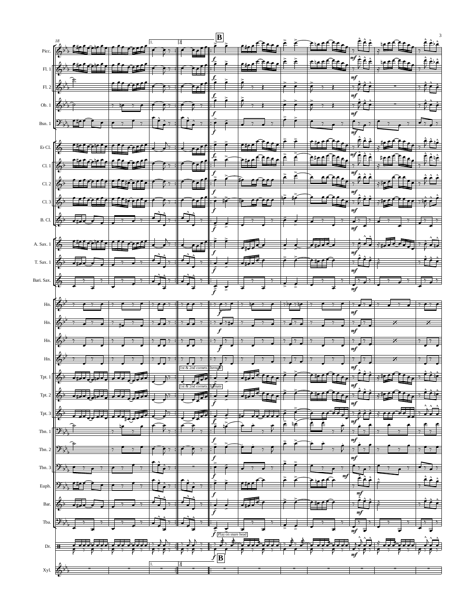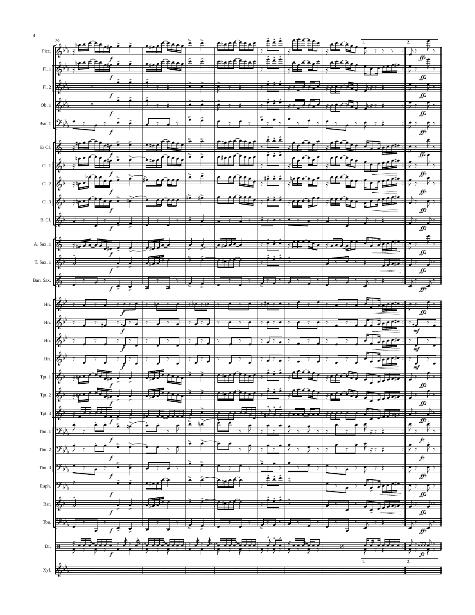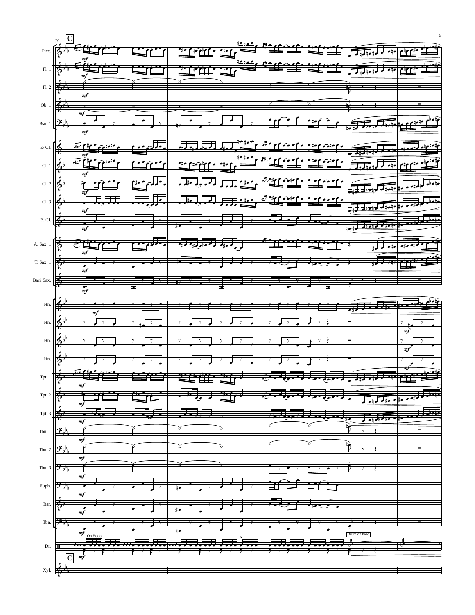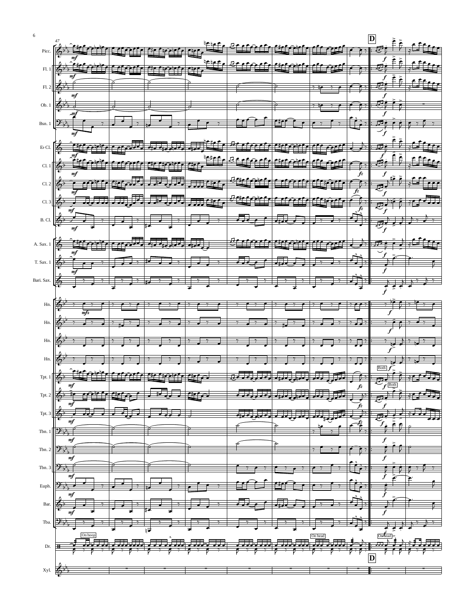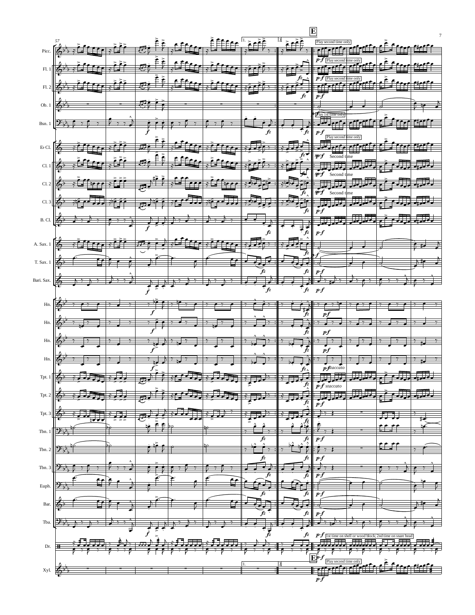|                             | 57                  |               |   |              |                         |                                | Play second time onl                        |         |                                                                         |                |
|-----------------------------|---------------------|---------------|---|--------------|-------------------------|--------------------------------|---------------------------------------------|---------|-------------------------------------------------------------------------|----------------|
| Picc.                       |                     |               |   |              |                         |                                |                                             | me only |                                                                         |                |
| FL.1                        |                     |               |   |              |                         |                                |                                             |         |                                                                         |                |
|                             |                     |               |   |              |                         |                                | р-J                                         |         |                                                                         |                |
| F1.2                        |                     |               |   |              |                         |                                |                                             |         |                                                                         |                |
| Ob.1                        |                     |               |   |              |                         |                                |                                             |         |                                                                         |                |
|                             |                     |               |   |              |                         |                                | <i>flay</i> 1st time on                     |         |                                                                         |                |
| Bsn. 1                      |                     |               |   |              |                         |                                |                                             |         |                                                                         |                |
|                             |                     |               |   |              | $f\overline{z}$         |                                | $\boldsymbol{p}$<br>Play second time only   |         |                                                                         |                |
| $\to$ Cl.                   |                     |               |   |              |                         |                                |                                             |         |                                                                         |                |
|                             |                     |               |   |              |                         |                                | sp≓f<br>Second t                            | time.   |                                                                         |                |
| CL1                         |                     |               |   |              |                         |                                | Фf                                          |         |                                                                         |                |
| CL2                         |                     |               |   |              |                         |                                | Second time                                 |         |                                                                         |                |
|                             |                     |               |   |              |                         |                                | sp-f<br>Second time                         |         |                                                                         |                |
| CL3                         |                     |               |   |              |                         |                                |                                             |         |                                                                         |                |
| B.Cl.                       |                     |               |   |              |                         |                                |                                             |         |                                                                         |                |
|                             |                     |               |   |              | $f\overline{z}$         | fz                             |                                             |         |                                                                         |                |
| A. Sax. 1                   |                     |               |   |              |                         |                                | p-f                                         |         |                                                                         |                |
|                             |                     |               |   |              |                         |                                |                                             |         |                                                                         |                |
| T. Sax. 1                   |                     |               |   |              |                         |                                |                                             |         |                                                                         |                |
|                             |                     |               |   |              |                         |                                | p-f                                         |         |                                                                         |                |
| Bari. Sax.                  | ক                   |               |   |              | $f\overline{z}$         | fz                             | $p-f$                                       |         |                                                                         |                |
|                             |                     |               |   |              |                         |                                |                                             |         |                                                                         |                |
| Hn.                         |                     |               |   |              |                         |                                | p f                                         |         |                                                                         |                |
| Hn.                         |                     |               |   |              |                         |                                |                                             |         |                                                                         |                |
|                             |                     |               |   |              |                         | fz                             | $_{pf}$                                     |         |                                                                         |                |
| Hn.                         |                     |               |   |              |                         | łż.                            | $\boldsymbol{p}$ f                          |         |                                                                         |                |
| Hn.                         |                     |               |   |              |                         |                                |                                             |         |                                                                         |                |
|                             |                     | $f^>_{\succ}$ |   |              |                         | $\boldsymbol{f}$ ż $_{\wedge}$ | -<br>$p$ <i>ftaccato</i>                    |         |                                                                         |                |
| Tpt. $1$                    |                     | Ŧ             |   |              |                         | £                              | $p-f$ staccato                              |         |                                                                         | <b>Alexand</b> |
| Tpt. 2                      |                     |               |   |              |                         |                                |                                             |         |                                                                         |                |
|                             |                     |               |   |              |                         | fz                             | $\bar{p}$ f                                 |         |                                                                         |                |
| Tpt. 3                      | オファ                 | ╒             |   |              |                         |                                |                                             |         |                                                                         | ਸਵ             |
| Tbn. 1                      | <del>י ידע (י</del> |               |   |              |                         | fz                             |                                             |         |                                                                         |                |
|                             |                     |               |   |              | $\overline{f}$          | $f_z$                          | $p-f$                                       |         |                                                                         |                |
| Tbn. 2                      | $\cdots$            | *             |   |              |                         |                                |                                             |         |                                                                         |                |
| Tbn. $3$                    |                     |               |   |              | $\boldsymbol{f}$ ż<br>7 | fz                             | $p-f$                                       |         |                                                                         |                |
|                             | ソア                  |               | ₽ |              | fz                      | fz                             | ◢<br>$\overline{p-f}$                       |         |                                                                         |                |
| Euph.                       | مع                  |               |   | $\mathbf{f}$ |                         |                                |                                             |         |                                                                         |                |
|                             |                     |               |   |              | $f\overline{z}$         | fz                             | $p\!-\!\!f$                                 |         |                                                                         |                |
| Bar.                        |                     |               |   | ≏            |                         | $f\overline{z}$                | $p-f$                                       |         |                                                                         |                |
| Tba.                        |                     |               |   |              |                         |                                |                                             |         |                                                                         |                |
|                             |                     |               |   |              |                         | $f\overline{z}$                |                                             |         | $p\mathcal{f}$ [1st time on shell or wood block; 2nd time on snare head |                |
| $\mathop{\rm Dr}\nolimits.$ | 田                   |               |   |              |                         |                                |                                             |         |                                                                         |                |
|                             |                     |               |   |              |                         |                                | $\mathbf{E}^{p-f}$<br>Play second time only |         |                                                                         |                |
| $\mathbf{Xyl}.$             |                     |               |   |              |                         |                                |                                             |         |                                                                         |                |
|                             |                     |               |   |              |                         |                                | $\bar{p}$                                   |         |                                                                         |                |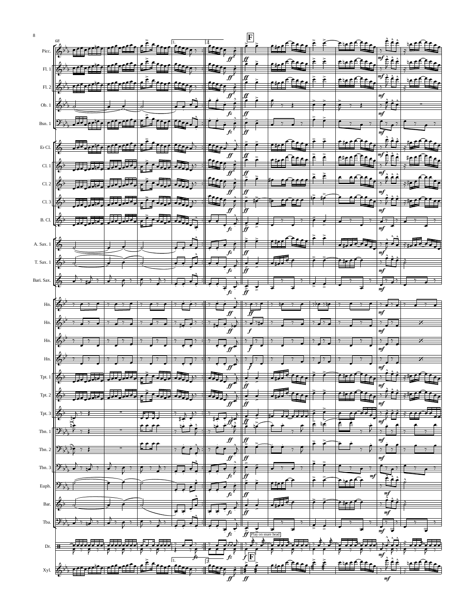| Picc.                           |                                                                                                                                                                                                                                                                                                                                                              |                                                                       |                          |                                                                                                                                                                                                                                                                                                                                                                                                                                                                                                                                                                                                                                                                                                           |                                                                       |                                             |               |                                                                                                                                                                                                                                                                                                                     |                            |                                                           |
|---------------------------------|--------------------------------------------------------------------------------------------------------------------------------------------------------------------------------------------------------------------------------------------------------------------------------------------------------------------------------------------------------------|-----------------------------------------------------------------------|--------------------------|-----------------------------------------------------------------------------------------------------------------------------------------------------------------------------------------------------------------------------------------------------------------------------------------------------------------------------------------------------------------------------------------------------------------------------------------------------------------------------------------------------------------------------------------------------------------------------------------------------------------------------------------------------------------------------------------------------------|-----------------------------------------------------------------------|---------------------------------------------|---------------|---------------------------------------------------------------------------------------------------------------------------------------------------------------------------------------------------------------------------------------------------------------------------------------------------------------------|----------------------------|-----------------------------------------------------------|
|                                 |                                                                                                                                                                                                                                                                                                                                                              |                                                                       |                          |                                                                                                                                                                                                                                                                                                                                                                                                                                                                                                                                                                                                                                                                                                           |                                                                       |                                             |               |                                                                                                                                                                                                                                                                                                                     |                            |                                                           |
|                                 |                                                                                                                                                                                                                                                                                                                                                              |                                                                       |                          |                                                                                                                                                                                                                                                                                                                                                                                                                                                                                                                                                                                                                                                                                                           |                                                                       |                                             |               |                                                                                                                                                                                                                                                                                                                     | $\frac{m}{2}$              |                                                           |
| F1.1                            |                                                                                                                                                                                                                                                                                                                                                              |                                                                       |                          |                                                                                                                                                                                                                                                                                                                                                                                                                                                                                                                                                                                                                                                                                                           |                                                                       |                                             |               |                                                                                                                                                                                                                                                                                                                     |                            |                                                           |
|                                 |                                                                                                                                                                                                                                                                                                                                                              |                                                                       |                          |                                                                                                                                                                                                                                                                                                                                                                                                                                                                                                                                                                                                                                                                                                           |                                                                       |                                             |               |                                                                                                                                                                                                                                                                                                                     |                            |                                                           |
|                                 | F1.2                                                                                                                                                                                                                                                                                                                                                         |                                                                       |                          |                                                                                                                                                                                                                                                                                                                                                                                                                                                                                                                                                                                                                                                                                                           |                                                                       |                                             |               |                                                                                                                                                                                                                                                                                                                     |                            |                                                           |
|                                 |                                                                                                                                                                                                                                                                                                                                                              |                                                                       |                          |                                                                                                                                                                                                                                                                                                                                                                                                                                                                                                                                                                                                                                                                                                           |                                                                       |                                             |               |                                                                                                                                                                                                                                                                                                                     |                            |                                                           |
| Ob.1                            |                                                                                                                                                                                                                                                                                                                                                              |                                                                       |                          |                                                                                                                                                                                                                                                                                                                                                                                                                                                                                                                                                                                                                                                                                                           |                                                                       |                                             |               |                                                                                                                                                                                                                                                                                                                     |                            |                                                           |
|                                 |                                                                                                                                                                                                                                                                                                                                                              |                                                                       |                          |                                                                                                                                                                                                                                                                                                                                                                                                                                                                                                                                                                                                                                                                                                           |                                                                       |                                             |               |                                                                                                                                                                                                                                                                                                                     |                            |                                                           |
| Bsn.1                           | $\frac{1}{2} \left\  \frac{1}{2} \sum_{i=1}^n \frac{1}{2} \sum_{i=1}^n \frac{1}{2} \sum_{i=1}^n \frac{1}{2} \sum_{i=1}^n \frac{1}{2} \sum_{i=1}^n \frac{1}{2} \sum_{i=1}^n \frac{1}{2} \sum_{i=1}^n \frac{1}{2} \sum_{i=1}^n \frac{1}{2} \sum_{i=1}^n \frac{1}{2} \sum_{i=1}^n \frac{1}{2} \sum_{i=1}^n \frac{1}{2} \sum_{i=1}^n \frac{1}{2} \sum_{i=1}^n \$ |                                                                       |                          |                                                                                                                                                                                                                                                                                                                                                                                                                                                                                                                                                                                                                                                                                                           |                                                                       |                                             |               |                                                                                                                                                                                                                                                                                                                     |                            |                                                           |
|                                 |                                                                                                                                                                                                                                                                                                                                                              |                                                                       |                          |                                                                                                                                                                                                                                                                                                                                                                                                                                                                                                                                                                                                                                                                                                           |                                                                       |                                             |               |                                                                                                                                                                                                                                                                                                                     |                            |                                                           |
| $\to$ Cl.                       |                                                                                                                                                                                                                                                                                                                                                              |                                                                       |                          |                                                                                                                                                                                                                                                                                                                                                                                                                                                                                                                                                                                                                                                                                                           |                                                                       | <u>reffi</u>                                |               |                                                                                                                                                                                                                                                                                                                     |                            |                                                           |
|                                 |                                                                                                                                                                                                                                                                                                                                                              |                                                                       |                          | $\frac{1}{\sqrt{2}}$ and $\frac{1}{\sqrt{2}}$ and $\frac{1}{\sqrt{2}}$ and $\frac{1}{\sqrt{2}}$ and $\frac{1}{\sqrt{2}}$ and $\frac{1}{\sqrt{2}}$ and $\frac{1}{\sqrt{2}}$                                                                                                                                                                                                                                                                                                                                                                                                                                                                                                                                |                                                                       |                                             |               |                                                                                                                                                                                                                                                                                                                     |                            |                                                           |
| Cl. 1                           |                                                                                                                                                                                                                                                                                                                                                              |                                                                       |                          |                                                                                                                                                                                                                                                                                                                                                                                                                                                                                                                                                                                                                                                                                                           |                                                                       | † Kor                                       |               | <del>ËËÉÊ</del> f                                                                                                                                                                                                                                                                                                   |                            | <u> "fêê refte.</u>                                       |
|                                 |                                                                                                                                                                                                                                                                                                                                                              |                                                                       |                          |                                                                                                                                                                                                                                                                                                                                                                                                                                                                                                                                                                                                                                                                                                           |                                                                       |                                             |               |                                                                                                                                                                                                                                                                                                                     |                            |                                                           |
|                                 |                                                                                                                                                                                                                                                                                                                                                              |                                                                       |                          |                                                                                                                                                                                                                                                                                                                                                                                                                                                                                                                                                                                                                                                                                                           |                                                                       | فسنفسخ أفراغ فتكأ مرهبا لتنبى لتناقل التناس |               | $\overline{\mathbf{f}^{\text{ref}}(\mathbf{f},\hat{\theta})}$                                                                                                                                                                                                                                                       |                            | أتلفظ                                                     |
| Cl. 2                           |                                                                                                                                                                                                                                                                                                                                                              |                                                                       |                          |                                                                                                                                                                                                                                                                                                                                                                                                                                                                                                                                                                                                                                                                                                           |                                                                       |                                             |               |                                                                                                                                                                                                                                                                                                                     |                            |                                                           |
|                                 |                                                                                                                                                                                                                                                                                                                                                              |                                                                       |                          |                                                                                                                                                                                                                                                                                                                                                                                                                                                                                                                                                                                                                                                                                                           |                                                                       |                                             | $\frac{1}{2}$ |                                                                                                                                                                                                                                                                                                                     |                            | re <sup>nf</sup> .<br><u>File</u> r: 22 yie <u>r Ffer</u> |
| Cl.3                            |                                                                                                                                                                                                                                                                                                                                                              | $\pi$ , $\pi$ , $\pi$ , $\pi$ , $\pi$ , $\pi$ , $\pi$ , $\pi$ , $\pi$ |                          |                                                                                                                                                                                                                                                                                                                                                                                                                                                                                                                                                                                                                                                                                                           |                                                                       |                                             |               |                                                                                                                                                                                                                                                                                                                     |                            |                                                           |
|                                 |                                                                                                                                                                                                                                                                                                                                                              |                                                                       |                          | $\lim_{\epsilon\rightarrow 0}\lim_{\epsilon\rightarrow 0}\lim_{\epsilon\rightarrow 0}\lim_{\epsilon\rightarrow 0}\lim_{\epsilon\rightarrow 0}\lim_{\epsilon\rightarrow 0}\lim_{\epsilon\rightarrow 0}\lim_{\epsilon\rightarrow 0}\lim_{\epsilon\rightarrow 0}\lim_{\epsilon\rightarrow 0}\lim_{\epsilon\rightarrow 0}\lim_{\epsilon\rightarrow 0}\lim_{\epsilon\rightarrow 0}\lim_{\epsilon\rightarrow 0}\lim_{\epsilon\rightarrow 0}\lim_{\epsilon\rightarrow 0}\lim_{\epsilon\rightarrow 0}\lim_{\epsilon\rightarrow 0}\lim_{\epsilon\rightarrow 0}\lim_{\epsilon\rightarrow 0}\lim_{\epsilon\rightarrow 0}\lim_{\epsilon\rightarrow 0}\lim_{\epsilon\rightarrow 0}\lim_{\epsilon\rightarrow 0}\lim_{\$ |                                                                       |                                             |               |                                                                                                                                                                                                                                                                                                                     |                            |                                                           |
| $B.$ Cl. $\sqrt{\frac{B^2}{C}}$ |                                                                                                                                                                                                                                                                                                                                                              |                                                                       |                          |                                                                                                                                                                                                                                                                                                                                                                                                                                                                                                                                                                                                                                                                                                           |                                                                       |                                             |               |                                                                                                                                                                                                                                                                                                                     | $\frac{1}{\sqrt{m}}$       |                                                           |
|                                 |                                                                                                                                                                                                                                                                                                                                                              |                                                                       |                          |                                                                                                                                                                                                                                                                                                                                                                                                                                                                                                                                                                                                                                                                                                           |                                                                       |                                             |               |                                                                                                                                                                                                                                                                                                                     |                            |                                                           |
| A. Sax. 1                       |                                                                                                                                                                                                                                                                                                                                                              |                                                                       | $\sqrt{2}$               |                                                                                                                                                                                                                                                                                                                                                                                                                                                                                                                                                                                                                                                                                                           |                                                                       |                                             |               | $\frac{1}{\sqrt{2}}$                                                                                                                                                                                                                                                                                                |                            |                                                           |
|                                 |                                                                                                                                                                                                                                                                                                                                                              |                                                                       |                          |                                                                                                                                                                                                                                                                                                                                                                                                                                                                                                                                                                                                                                                                                                           |                                                                       |                                             |               |                                                                                                                                                                                                                                                                                                                     |                            |                                                           |
| T. Sax. 1                       |                                                                                                                                                                                                                                                                                                                                                              |                                                                       | $\overline{\phantom{a}}$ | $\overline{\phantom{a}}$                                                                                                                                                                                                                                                                                                                                                                                                                                                                                                                                                                                                                                                                                  | $\begin{array}{c} \hline \end{array}$                                 | $\frac{1}{2}$ , $\frac{1}{2}$               |               | <u>Freit</u>                                                                                                                                                                                                                                                                                                        | $\left \frac{1}{2}\right $ |                                                           |
|                                 |                                                                                                                                                                                                                                                                                                                                                              |                                                                       |                          |                                                                                                                                                                                                                                                                                                                                                                                                                                                                                                                                                                                                                                                                                                           |                                                                       |                                             |               |                                                                                                                                                                                                                                                                                                                     |                            |                                                           |
| Bari. Sax.                      |                                                                                                                                                                                                                                                                                                                                                              |                                                                       |                          |                                                                                                                                                                                                                                                                                                                                                                                                                                                                                                                                                                                                                                                                                                           |                                                                       |                                             |               |                                                                                                                                                                                                                                                                                                                     |                            |                                                           |
|                                 |                                                                                                                                                                                                                                                                                                                                                              |                                                                       |                          |                                                                                                                                                                                                                                                                                                                                                                                                                                                                                                                                                                                                                                                                                                           |                                                                       | $\frac{1}{2}$                               | $\frac{1}{2}$ | $\frac{1}{2}$ $\frac{1}{2}$ $\frac{1}{2}$ $\frac{1}{2}$ $\frac{1}{2}$ $\frac{1}{2}$ $\frac{1}{2}$ $\frac{1}{2}$ $\frac{1}{2}$ $\frac{1}{2}$ $\frac{1}{2}$ $\frac{1}{2}$ $\frac{1}{2}$ $\frac{1}{2}$ $\frac{1}{2}$ $\frac{1}{2}$ $\frac{1}{2}$ $\frac{1}{2}$ $\frac{1}{2}$ $\frac{1}{2}$ $\frac{1}{2}$ $\frac{1}{2}$ |                            |                                                           |
|                                 |                                                                                                                                                                                                                                                                                                                                                              |                                                                       |                          |                                                                                                                                                                                                                                                                                                                                                                                                                                                                                                                                                                                                                                                                                                           |                                                                       |                                             |               |                                                                                                                                                                                                                                                                                                                     |                            |                                                           |
| $\rm Hn.$                       |                                                                                                                                                                                                                                                                                                                                                              |                                                                       |                          |                                                                                                                                                                                                                                                                                                                                                                                                                                                                                                                                                                                                                                                                                                           |                                                                       |                                             |               |                                                                                                                                                                                                                                                                                                                     |                            |                                                           |
|                                 |                                                                                                                                                                                                                                                                                                                                                              |                                                                       |                          |                                                                                                                                                                                                                                                                                                                                                                                                                                                                                                                                                                                                                                                                                                           |                                                                       |                                             |               |                                                                                                                                                                                                                                                                                                                     |                            |                                                           |
| Hn.                             |                                                                                                                                                                                                                                                                                                                                                              |                                                                       |                          | ∠∎                                                                                                                                                                                                                                                                                                                                                                                                                                                                                                                                                                                                                                                                                                        | $\frac{1}{2}$ $\frac{1}{2}$ $\frac{1}{2}$ $\frac{1}{2}$ $\frac{1}{2}$ |                                             |               |                                                                                                                                                                                                                                                                                                                     |                            |                                                           |
|                                 |                                                                                                                                                                                                                                                                                                                                                              |                                                                       |                          |                                                                                                                                                                                                                                                                                                                                                                                                                                                                                                                                                                                                                                                                                                           |                                                                       |                                             |               |                                                                                                                                                                                                                                                                                                                     |                            |                                                           |
| Hn.                             |                                                                                                                                                                                                                                                                                                                                                              |                                                                       |                          |                                                                                                                                                                                                                                                                                                                                                                                                                                                                                                                                                                                                                                                                                                           |                                                                       |                                             |               |                                                                                                                                                                                                                                                                                                                     |                            |                                                           |
|                                 |                                                                                                                                                                                                                                                                                                                                                              |                                                                       |                          | $\mathcal{F}_{\mathcal{F}}$                                                                                                                                                                                                                                                                                                                                                                                                                                                                                                                                                                                                                                                                               |                                                                       |                                             |               |                                                                                                                                                                                                                                                                                                                     |                            |                                                           |
| $\rm Hn.$                       |                                                                                                                                                                                                                                                                                                                                                              |                                                                       |                          |                                                                                                                                                                                                                                                                                                                                                                                                                                                                                                                                                                                                                                                                                                           |                                                                       |                                             |               |                                                                                                                                                                                                                                                                                                                     |                            |                                                           |
|                                 |                                                                                                                                                                                                                                                                                                                                                              |                                                                       |                          |                                                                                                                                                                                                                                                                                                                                                                                                                                                                                                                                                                                                                                                                                                           |                                                                       |                                             |               |                                                                                                                                                                                                                                                                                                                     |                            |                                                           |
| $\mbox{\rm Tpt.}$ $1$           | $\overline{a}$ , $\overline{a}$ , $\overline{a}$ , $\overline{a}$ , $\overline{a}$ , $\overline{a}$ , $\overline{a}$ , $\overline{a}$ , $\overline{a}$ , $\overline{a}$ , $\overline{a}$<br>$\overline{\mathbb{6}^{\triangleright}}$                                                                                                                         |                                                                       |                          | $\frac{1}{2}$ $\frac{1}{2}$ $\frac{1}{2}$ $\frac{1}{2}$ $\frac{1}{2}$ $\frac{1}{2}$                                                                                                                                                                                                                                                                                                                                                                                                                                                                                                                                                                                                                       |                                                                       | $\frac{1}{2}$                               |               | $\epsilon$ is the function of $\epsilon$                                                                                                                                                                                                                                                                            |                            |                                                           |
|                                 |                                                                                                                                                                                                                                                                                                                                                              |                                                                       |                          |                                                                                                                                                                                                                                                                                                                                                                                                                                                                                                                                                                                                                                                                                                           |                                                                       |                                             |               |                                                                                                                                                                                                                                                                                                                     |                            |                                                           |
| Tpt. 2                          |                                                                                                                                                                                                                                                                                                                                                              |                                                                       |                          |                                                                                                                                                                                                                                                                                                                                                                                                                                                                                                                                                                                                                                                                                                           |                                                                       |                                             |               |                                                                                                                                                                                                                                                                                                                     |                            |                                                           |
|                                 |                                                                                                                                                                                                                                                                                                                                                              |                                                                       |                          |                                                                                                                                                                                                                                                                                                                                                                                                                                                                                                                                                                                                                                                                                                           |                                                                       |                                             |               |                                                                                                                                                                                                                                                                                                                     |                            |                                                           |
| Tpt. 3                          |                                                                                                                                                                                                                                                                                                                                                              |                                                                       |                          |                                                                                                                                                                                                                                                                                                                                                                                                                                                                                                                                                                                                                                                                                                           |                                                                       |                                             |               |                                                                                                                                                                                                                                                                                                                     |                            |                                                           |
|                                 |                                                                                                                                                                                                                                                                                                                                                              |                                                                       |                          |                                                                                                                                                                                                                                                                                                                                                                                                                                                                                                                                                                                                                                                                                                           |                                                                       |                                             |               |                                                                                                                                                                                                                                                                                                                     |                            |                                                           |
| Tbn. 1                          |                                                                                                                                                                                                                                                                                                                                                              |                                                                       |                          |                                                                                                                                                                                                                                                                                                                                                                                                                                                                                                                                                                                                                                                                                                           |                                                                       |                                             |               |                                                                                                                                                                                                                                                                                                                     |                            |                                                           |
|                                 |                                                                                                                                                                                                                                                                                                                                                              |                                                                       |                          |                                                                                                                                                                                                                                                                                                                                                                                                                                                                                                                                                                                                                                                                                                           |                                                                       |                                             |               |                                                                                                                                                                                                                                                                                                                     | тf                         |                                                           |
| Tbn. 2                          |                                                                                                                                                                                                                                                                                                                                                              |                                                                       |                          |                                                                                                                                                                                                                                                                                                                                                                                                                                                                                                                                                                                                                                                                                                           |                                                                       |                                             |               |                                                                                                                                                                                                                                                                                                                     |                            |                                                           |
|                                 |                                                                                                                                                                                                                                                                                                                                                              |                                                                       |                          |                                                                                                                                                                                                                                                                                                                                                                                                                                                                                                                                                                                                                                                                                                           |                                                                       |                                             |               |                                                                                                                                                                                                                                                                                                                     | mf                         |                                                           |
| Tbn. 3                          |                                                                                                                                                                                                                                                                                                                                                              |                                                                       |                          |                                                                                                                                                                                                                                                                                                                                                                                                                                                                                                                                                                                                                                                                                                           |                                                                       |                                             |               |                                                                                                                                                                                                                                                                                                                     |                            |                                                           |
|                                 |                                                                                                                                                                                                                                                                                                                                                              |                                                                       |                          |                                                                                                                                                                                                                                                                                                                                                                                                                                                                                                                                                                                                                                                                                                           |                                                                       |                                             |               | m <sub>i</sub>                                                                                                                                                                                                                                                                                                      |                            |                                                           |
| Euph.                           |                                                                                                                                                                                                                                                                                                                                                              |                                                                       |                          |                                                                                                                                                                                                                                                                                                                                                                                                                                                                                                                                                                                                                                                                                                           |                                                                       |                                             |               |                                                                                                                                                                                                                                                                                                                     |                            |                                                           |
|                                 |                                                                                                                                                                                                                                                                                                                                                              |                                                                       |                          |                                                                                                                                                                                                                                                                                                                                                                                                                                                                                                                                                                                                                                                                                                           |                                                                       |                                             |               |                                                                                                                                                                                                                                                                                                                     |                            |                                                           |
| Bar.                            |                                                                                                                                                                                                                                                                                                                                                              |                                                                       |                          |                                                                                                                                                                                                                                                                                                                                                                                                                                                                                                                                                                                                                                                                                                           |                                                                       |                                             |               |                                                                                                                                                                                                                                                                                                                     |                            |                                                           |
|                                 |                                                                                                                                                                                                                                                                                                                                                              |                                                                       |                          |                                                                                                                                                                                                                                                                                                                                                                                                                                                                                                                                                                                                                                                                                                           |                                                                       |                                             |               |                                                                                                                                                                                                                                                                                                                     |                            |                                                           |
|                                 |                                                                                                                                                                                                                                                                                                                                                              |                                                                       |                          |                                                                                                                                                                                                                                                                                                                                                                                                                                                                                                                                                                                                                                                                                                           |                                                                       |                                             |               |                                                                                                                                                                                                                                                                                                                     |                            |                                                           |
| Tba.                            |                                                                                                                                                                                                                                                                                                                                                              |                                                                       |                          |                                                                                                                                                                                                                                                                                                                                                                                                                                                                                                                                                                                                                                                                                                           |                                                                       |                                             |               |                                                                                                                                                                                                                                                                                                                     |                            |                                                           |
|                                 |                                                                                                                                                                                                                                                                                                                                                              |                                                                       |                          | £                                                                                                                                                                                                                                                                                                                                                                                                                                                                                                                                                                                                                                                                                                         | $\tilde{H}$ Play on snare head                                        |                                             |               |                                                                                                                                                                                                                                                                                                                     |                            |                                                           |
| Dr.                             |                                                                                                                                                                                                                                                                                                                                                              |                                                                       |                          |                                                                                                                                                                                                                                                                                                                                                                                                                                                                                                                                                                                                                                                                                                           |                                                                       |                                             |               |                                                                                                                                                                                                                                                                                                                     |                            |                                                           |
|                                 |                                                                                                                                                                                                                                                                                                                                                              |                                                                       |                          |                                                                                                                                                                                                                                                                                                                                                                                                                                                                                                                                                                                                                                                                                                           |                                                                       |                                             |               |                                                                                                                                                                                                                                                                                                                     |                            |                                                           |
|                                 |                                                                                                                                                                                                                                                                                                                                                              |                                                                       |                          |                                                                                                                                                                                                                                                                                                                                                                                                                                                                                                                                                                                                                                                                                                           |                                                                       |                                             |               |                                                                                                                                                                                                                                                                                                                     |                            |                                                           |
|                                 |                                                                                                                                                                                                                                                                                                                                                              |                                                                       |                          |                                                                                                                                                                                                                                                                                                                                                                                                                                                                                                                                                                                                                                                                                                           |                                                                       |                                             |               |                                                                                                                                                                                                                                                                                                                     |                            |                                                           |
| Xyl.                            |                                                                                                                                                                                                                                                                                                                                                              |                                                                       |                          |                                                                                                                                                                                                                                                                                                                                                                                                                                                                                                                                                                                                                                                                                                           | $f\hspace{-0.1cm}f$                                                   |                                             |               |                                                                                                                                                                                                                                                                                                                     | m f                        |                                                           |